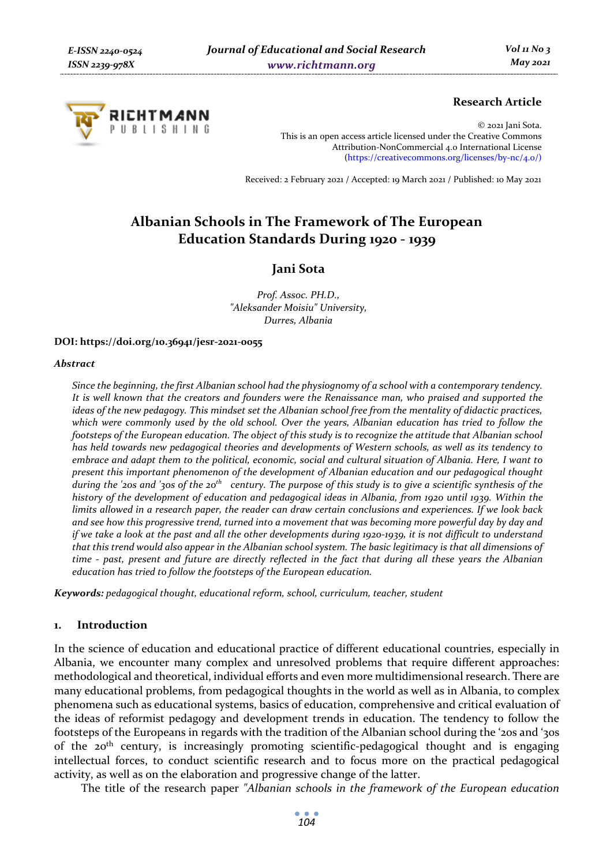

# **Research Article**

© 2021 Jani Sota. This is an open access article licensed under the Creative Commons Attribution-NonCommercial 4.0 International License (https://creativecommons.org/licenses/by-nc/4.0/)

Received: 2 February 2021 / Accepted: 19 March 2021 / Published: 10 May 2021

# **Albanian Schools in The Framework of The European Education Standards During 1920 - 1939**

## **Jani Sota**

*Prof. Assoc. PH.D., "Aleksander Moisiu" University, Durres, Albania* 

#### **DOI: https://doi.org/10.36941/jesr-2021-0055**

#### *Abstract*

*Since the beginning, the first Albanian school had the physiognomy of a school with a contemporary tendency. It is well known that the creators and founders were the Renaissance man, who praised and supported the ideas of the new pedagogy. This mindset set the Albanian school free from the mentality of didactic practices, which were commonly used by the old school. Over the years, Albanian education has tried to follow the*  footsteps of the European education. The object of this study is to recognize the attitude that Albanian school *has held towards new pedagogical theories and developments of Western schools, as well as its tendency to embrace and adapt them to the political, economic, social and cultural situation of Albania. Here, I want to present this important phenomenon of the development of Albanian education and our pedagogical thought during the '20s and '30s of the 20th century. The purpose of this study is to give a scientific synthesis of the history of the development of education and pedagogical ideas in Albania, from 1920 until 1939. Within the limits allowed in a research paper, the reader can draw certain conclusions and experiences. If we look back and see how this progressive trend, turned into a movement that was becoming more powerful day by day and if we take a look at the past and all the other developments during 1920-1939, it is not difficult to understand that this trend would also appear in the Albanian school system. The basic legitimacy is that all dimensions of time - past, present and future are directly reflected in the fact that during all these years the Albanian education has tried to follow the footsteps of the European education.* 

*Keywords: pedagogical thought, educational reform, school, curriculum, teacher, student* 

#### **1. Introduction**

In the science of education and educational practice of different educational countries, especially in Albania, we encounter many complex and unresolved problems that require different approaches: methodological and theoretical, individual efforts and even more multidimensional research. There are many educational problems, from pedagogical thoughts in the world as well as in Albania, to complex phenomena such as educational systems, basics of education, comprehensive and critical evaluation of the ideas of reformist pedagogy and development trends in education. The tendency to follow the footsteps of the Europeans in regards with the tradition of the Albanian school during the '20s and '30s of the 20th century, is increasingly promoting scientific-pedagogical thought and is engaging intellectual forces, to conduct scientific research and to focus more on the practical pedagogical activity, as well as on the elaboration and progressive change of the latter.

The title of the research paper *"Albanian schools in the framework of the European education*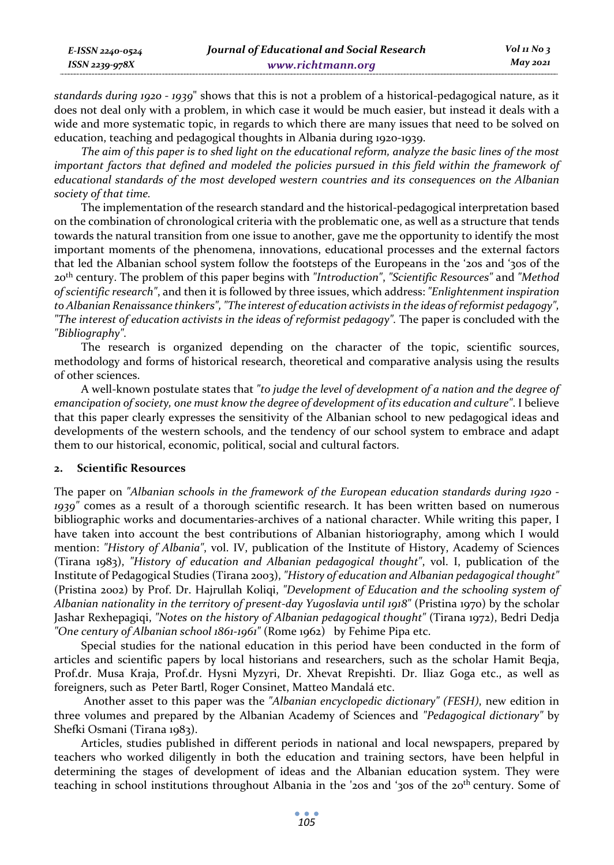| E-ISSN 2240-0524 | Journal of Educational and Social Research | $Vol_1N_0$ 3 |
|------------------|--------------------------------------------|--------------|
| ISSN 2239-978X   | www.richtmann.org                          | May 2021     |

*standards during 1920 - 1939*" shows that this is not a problem of a historical-pedagogical nature, as it does not deal only with a problem, in which case it would be much easier, but instead it deals with a wide and more systematic topic, in regards to which there are many issues that need to be solved on education, teaching and pedagogical thoughts in Albania during 1920-1939.

*The aim of this paper is to shed light on the educational reform, analyze the basic lines of the most important factors that defined and modeled the policies pursued in this field within the framework of educational standards of the most developed western countries and its consequences on the Albanian society of that time.*

The implementation of the research standard and the historical-pedagogical interpretation based on the combination of chronological criteria with the problematic one, as well as a structure that tends towards the natural transition from one issue to another, gave me the opportunity to identify the most important moments of the phenomena, innovations, educational processes and the external factors that led the Albanian school system follow the footsteps of the Europeans in the '20s and '30s of the 20th century. The problem of this paper begins with *"Introduction"*, *"Scientific Resources"* and *"Method of scientific research"*, and then it is followed by three issues, which address: *"Enlightenment inspiration to Albanian Renaissance thinkers", "The interest of education activists in the ideas of reformist pedagogy", "The interest of education activists in the ideas of reformist pedagogy".* The paper is concluded with the *"Bibliography".*

The research is organized depending on the character of the topic, scientific sources, methodology and forms of historical research, theoretical and comparative analysis using the results of other sciences.

A well-known postulate states that *"to judge the level of development of a nation and the degree of emancipation of society, one must know the degree of development of its education and culture"*. I believe that this paper clearly expresses the sensitivity of the Albanian school to new pedagogical ideas and developments of the western schools, and the tendency of our school system to embrace and adapt them to our historical, economic, political, social and cultural factors.

## **2. Scientific Resources**

The paper on *"Albanian schools in the framework of the European education standards during 1920 - 1939"* comes as a result of a thorough scientific research. It has been written based on numerous bibliographic works and documentaries-archives of a national character. While writing this paper, I have taken into account the best contributions of Albanian historiography, among which I would mention: *"History of Albania"*, vol. IV, publication of the Institute of History, Academy of Sciences (Tirana 1983), *"History of education and Albanian pedagogical thought"*, vol. I, publication of the Institute of Pedagogical Studies (Tirana 2003), *"History of education and Albanian pedagogical thought"* (Pristina 2002) by Prof. Dr. Hajrullah Koliqi, *"Development of Education and the schooling system of Albanian nationality in the territory of present-day Yugoslavia until 1918"* (Pristina 1970) by the scholar Jashar Rexhepagiqi, *"Notes on the history of Albanian pedagogical thought"* (Tirana 1972), Bedri Dedja *"One century of Albanian school 1861-1961"* (Rome 1962) by Fehime Pipa etc.

Special studies for the national education in this period have been conducted in the form of articles and scientific papers by local historians and researchers, such as the scholar Hamit Beqja, Prof.dr. Musa Kraja, Prof.dr. Hysni Myzyri, Dr. Xhevat Rrepishti. Dr. Iliaz Goga etc., as well as foreigners, such as Peter Bartl, Roger Consinet, Matteo Mandalá etc.

 Another asset to this paper was the *"Albanian encyclopedic dictionary" (FESH)*, new edition in three volumes and prepared by the Albanian Academy of Sciences and *"Pedagogical dictionary"* by Shefki Osmani (Tirana 1983).

Articles, studies published in different periods in national and local newspapers, prepared by teachers who worked diligently in both the education and training sectors, have been helpful in determining the stages of development of ideas and the Albanian education system. They were teaching in school institutions throughout Albania in the '20s and '30s of the 20<sup>th</sup> century. Some of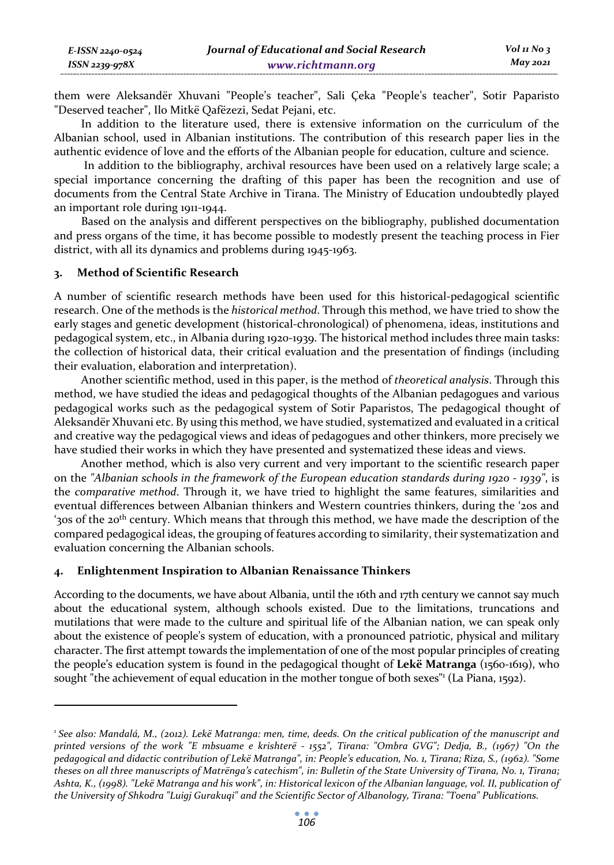| E-ISSN 2240-0524    | Journal of Educational and Social Research | $Vol$ 11 No 3 |
|---------------------|--------------------------------------------|---------------|
| $ISSN$ 2239-978 $X$ | www.richtmann.org                          | May 2021      |

them were Aleksandër Xhuvani "People's teacher", Sali Çeka "People's teacher", Sotir Paparisto "Deserved teacher", Ilo Mitkë Qafëzezi, Sedat Pejani, etc.

In addition to the literature used, there is extensive information on the curriculum of the Albanian school, used in Albanian institutions. The contribution of this research paper lies in the authentic evidence of love and the efforts of the Albanian people for education, culture and science.

 In addition to the bibliography, archival resources have been used on a relatively large scale; a special importance concerning the drafting of this paper has been the recognition and use of documents from the Central State Archive in Tirana. The Ministry of Education undoubtedly played an important role during 1911-1944.

Based on the analysis and different perspectives on the bibliography, published documentation and press organs of the time, it has become possible to modestly present the teaching process in Fier district, with all its dynamics and problems during 1945-1963.

# **3. Method of Scientific Research**

A number of scientific research methods have been used for this historical-pedagogical scientific research. One of the methods is the *historical method*. Through this method, we have tried to show the early stages and genetic development (historical-chronological) of phenomena, ideas, institutions and pedagogical system, etc., in Albania during 1920-1939. The historical method includes three main tasks: the collection of historical data, their critical evaluation and the presentation of findings (including their evaluation, elaboration and interpretation).

Another scientific method, used in this paper, is the method of *theoretical analysis*. Through this method, we have studied the ideas and pedagogical thoughts of the Albanian pedagogues and various pedagogical works such as the pedagogical system of Sotir Paparistos, The pedagogical thought of Aleksandër Xhuvani etc. By using this method, we have studied, systematized and evaluated in a critical and creative way the pedagogical views and ideas of pedagogues and other thinkers, more precisely we have studied their works in which they have presented and systematized these ideas and views.

Another method, which is also very current and very important to the scientific research paper on the *"Albanian schools in the framework of the European education standards during 1920 - 1939"*, is the *comparative method*. Through it, we have tried to highlight the same features, similarities and eventual differences between Albanian thinkers and Western countries thinkers, during the '20s and '30s of the 20<sup>th</sup> century. Which means that through this method, we have made the description of the compared pedagogical ideas, the grouping of features according to similarity, their systematization and evaluation concerning the Albanian schools.

### **4. Enlightenment Inspiration to Albanian Renaissance Thinkers**

According to the documents, we have about Albania, until the 16th and 17th century we cannot say much about the educational system, although schools existed. Due to the limitations, truncations and mutilations that were made to the culture and spiritual life of the Albanian nation, we can speak only about the existence of people's system of education, with a pronounced patriotic, physical and military character. The first attempt towards the implementation of one of the most popular principles of creating the people's education system is found in the pedagogical thought of **Lekë Matranga** (1560-1619), who sought "the achievement of equal education in the mother tongue of both sexes"<sup>1</sup> (La Piana, 1592).

*<sup>1</sup> See also: Mandalá, M., (2012). Lekë Matranga: men, time, deeds. On the critical publication of the manuscript and printed versions of the work "E mbsuame e krishterë - 1552", Tirana: "Ombra GVG"; Dedja, B., (1967) "On the pedagogical and didactic contribution of Lekë Matranga", in: People's education, No. 1, Tirana; Riza, S., (1962). "Some theses on all three manuscripts of Matrënga's catechism", in: Bulletin of the State University of Tirana, No. 1, Tirana; Ashta, K., (1998). "Lekë Matranga and his work", in: Historical lexicon of the Albanian language, vol. II, publication of the University of Shkodra "Luigj Gurakuqi" and the Scientific Sector of Albanology, Tirana: "Toena" Publications.*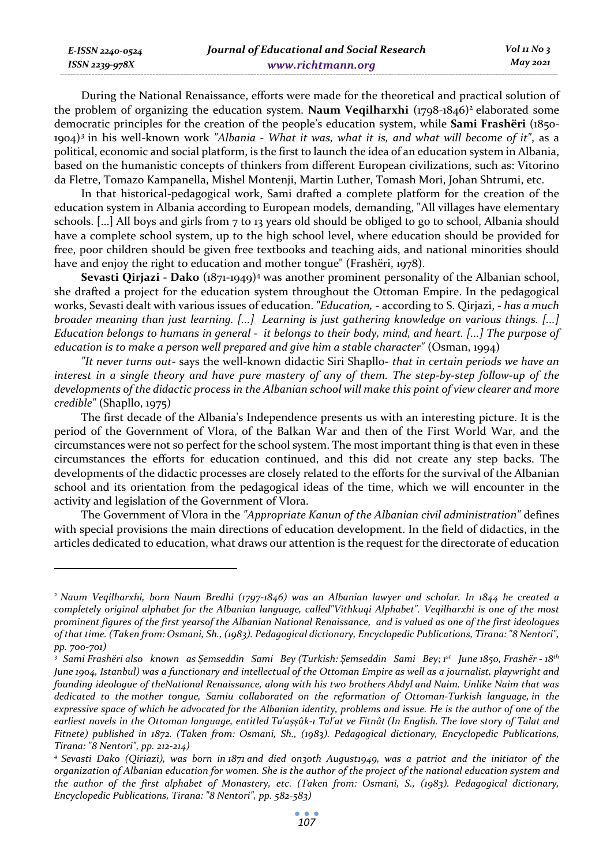| E-ISSN 2240-0524 | Journal of Educational and Social Research | Vol 11 No 3 |
|------------------|--------------------------------------------|-------------|
| ISSN 2239-978X   | www.richtmann.org                          | May 2021    |

During the National Renaissance, efforts were made for the theoretical and practical solution of the problem of organizing the education system. **Naum Vegilharxhi** (1798-1846)<sup>2</sup> elaborated some democratic principles for the creation of the people's education system, while **Sami Frashëri** (1850- 1904)3 in his well-known work *"Albania - What it was, what it is, and what will become of it"*, as a political, economic and social platform, is the first to launch the idea of an education system in Albania, based on the humanistic concepts of thinkers from different European civilizations, such as: Vitorino da Fletre, Tomazo Kampanella, Mishel Montenji, Martin Luther, Tomash Mori, Johan Shtrumi, etc.

In that historical-pedagogical work, Sami drafted a complete platform for the creation of the education system in Albania according to European models, demanding, "All villages have elementary schools. [...] All boys and girls from 7 to 13 years old should be obliged to go to school, Albania should have a complete school system, up to the high school level, where education should be provided for free, poor children should be given free textbooks and teaching aids, and national minorities should have and enjoy the right to education and mother tongue" (Frashëri, 1978).

**Sevasti Qirjazi - Dako** (1871-1949)<sup>4</sup> was another prominent personality of the Albanian school, she drafted a project for the education system throughout the Ottoman Empire. In the pedagogical works, Sevasti dealt with various issues of education. *"Education,* - according to S. Qirjazi, - *has a much broader meaning than just learning. [...] Learning is just gathering knowledge on various things. [...] Education belongs to humans in general - it belongs to their body, mind, and heart. [...] The purpose of education is to make a person well prepared and give him a stable character"* (Osman, 1994)

*"It never turns out*- says the well-known didactic Siri Shapllo- *that in certain periods we have an interest in a single theory and have pure mastery of any of them. The step-by-step follow-up of the developments of the didactic process in the Albanian school will make this point of view clearer and more credible"* (Shapllo, 1975)

The first decade of the Albania's Independence presents us with an interesting picture. It is the period of the Government of Vlora, of the Balkan War and then of the First World War, and the circumstances were not so perfect for the school system. The most important thing is that even in these circumstances the efforts for education continued, and this did not create any step backs. The developments of the didactic processes are closely related to the efforts for the survival of the Albanian school and its orientation from the pedagogical ideas of the time, which we will encounter in the activity and legislation of the Government of Vlora.

The Government of Vlora in the *"Appropriate Kanun of the Albanian civil administration"* defines with special provisions the main directions of education development. In the field of didactics, in the articles dedicated to education, what draws our attention is the request for the directorate of education

*<sup>2</sup> Naum Veqilharxhi, born Naum Bredhi (1797-1846) was an Albanian lawyer and scholar. In 1844 he created a completely original alphabet for the Albanian language, called"Vithkuqi Alphabet". Veqilharxhi is one of the most prominent figures of the first yearsof the Albanian National Renaissance, and is valued as one of the first ideologues of that time. (Taken from: Osmani, Sh., (1983). Pedagogical dictionary, Encyclopedic Publications, Tirana: "8 Nentori", pp. 700-701)* 

*<sup>3</sup> Sami Frashëri also known as Şemseddin Sami Bey (Turkish: Şemseddin Sami Bey; 1st June 1850, Frashër - 18th June 1904, Istanbul) was a functionary and intellectual of the Ottoman Empire as well as a journalist, playwright and founding ideologue of theNational Renaissance, along with his two brothers Abdyl and Naim. Unlike Naim that was dedicated to the mother tongue, Samiu collaborated on the reformation of Ottoman-Turkish language, in the expressive space of which he advocated for the Albanian identity, problems and issue. He is the author of one of the earliest novels in the Ottoman language, entitled Ta'aşşûk-ı Tal'at ve Fitnât (In English. The love story of Talat and Fitnete) published in 1872. (Taken from: Osmani, Sh., (1983). Pedagogical dictionary, Encyclopedic Publications, Tirana: "8 Nentori", pp. 212-214)* 

*<sup>4</sup> Sevasti Dako (Qiriazi), was born in 1871 and died on30th August1949, was a patriot and the initiator of the organization of Albanian education for women. She is the author of the project of the national education system and the author of the first alphabet of Monastery, etc. (Taken from: Osmani, S., (1983). Pedagogical dictionary, Encyclopedic Publications, Tirana: "8 Nentori", pp. 582-583)*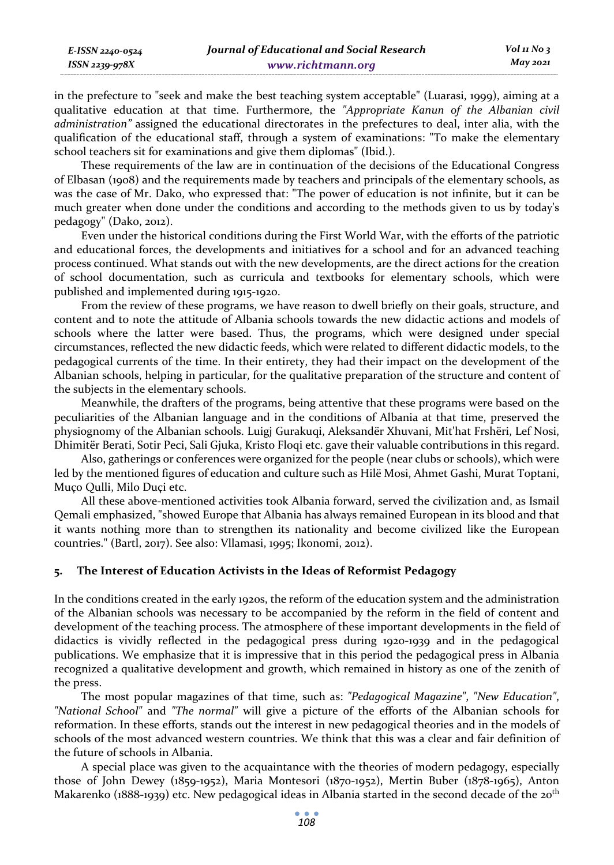*E-ISSN 2240-0524 ISSN 2239-978X*

in the prefecture to "seek and make the best teaching system acceptable" (Luarasi, 1999), aiming at a qualitative education at that time. Furthermore, the *"Appropriate Kanun of the Albanian civil administration"* assigned the educational directorates in the prefectures to deal, inter alia, with the qualification of the educational staff, through a system of examinations: "To make the elementary school teachers sit for examinations and give them diplomas" (Ibid.).

These requirements of the law are in continuation of the decisions of the Educational Congress of Elbasan (1908) and the requirements made by teachers and principals of the elementary schools, as was the case of Mr. Dako, who expressed that: "The power of education is not infinite, but it can be much greater when done under the conditions and according to the methods given to us by today's pedagogy" (Dako, 2012).

Even under the historical conditions during the First World War, with the efforts of the patriotic and educational forces, the developments and initiatives for a school and for an advanced teaching process continued. What stands out with the new developments, are the direct actions for the creation of school documentation, such as curricula and textbooks for elementary schools, which were published and implemented during 1915-1920.

From the review of these programs, we have reason to dwell briefly on their goals, structure, and content and to note the attitude of Albania schools towards the new didactic actions and models of schools where the latter were based. Thus, the programs, which were designed under special circumstances, reflected the new didactic feeds, which were related to different didactic models, to the pedagogical currents of the time. In their entirety, they had their impact on the development of the Albanian schools, helping in particular, for the qualitative preparation of the structure and content of the subjects in the elementary schools.

Meanwhile, the drafters of the programs, being attentive that these programs were based on the peculiarities of the Albanian language and in the conditions of Albania at that time, preserved the physiognomy of the Albanian schools. Luigj Gurakuqi, Aleksandër Xhuvani, Mit'hat Frshëri, Lef Nosi, Dhimitër Berati, Sotir Peci, Sali Gjuka, Kristo Floqi etc. gave their valuable contributions in this regard.

Also, gatherings or conferences were organized for the people (near clubs or schools), which were led by the mentioned figures of education and culture such as Hilë Mosi, Ahmet Gashi, Murat Toptani, Muço Qulli, Milo Duçi etc.

All these above-mentioned activities took Albania forward, served the civilization and, as Ismail Qemali emphasized, "showed Europe that Albania has always remained European in its blood and that it wants nothing more than to strengthen its nationality and become civilized like the European countries." (Bartl, 2017). See also: Vllamasi, 1995; Ikonomi, 2012).

# **5. The Interest of Education Activists in the Ideas of Reformist Pedagogy**

In the conditions created in the early 1920s, the reform of the education system and the administration of the Albanian schools was necessary to be accompanied by the reform in the field of content and development of the teaching process. The atmosphere of these important developments in the field of didactics is vividly reflected in the pedagogical press during 1920-1939 and in the pedagogical publications. We emphasize that it is impressive that in this period the pedagogical press in Albania recognized a qualitative development and growth, which remained in history as one of the zenith of the press.

The most popular magazines of that time, such as: *"Pedagogical Magazine"*, *"New Education"*, *"National School"* and *"The normal"* will give a picture of the efforts of the Albanian schools for reformation. In these efforts, stands out the interest in new pedagogical theories and in the models of schools of the most advanced western countries. We think that this was a clear and fair definition of the future of schools in Albania.

A special place was given to the acquaintance with the theories of modern pedagogy, especially those of John Dewey (1859-1952), Maria Montesori (1870-1952), Mertin Buber (1878-1965), Anton Makarenko (1888-1939) etc. New pedagogical ideas in Albania started in the second decade of the 20<sup>th</sup>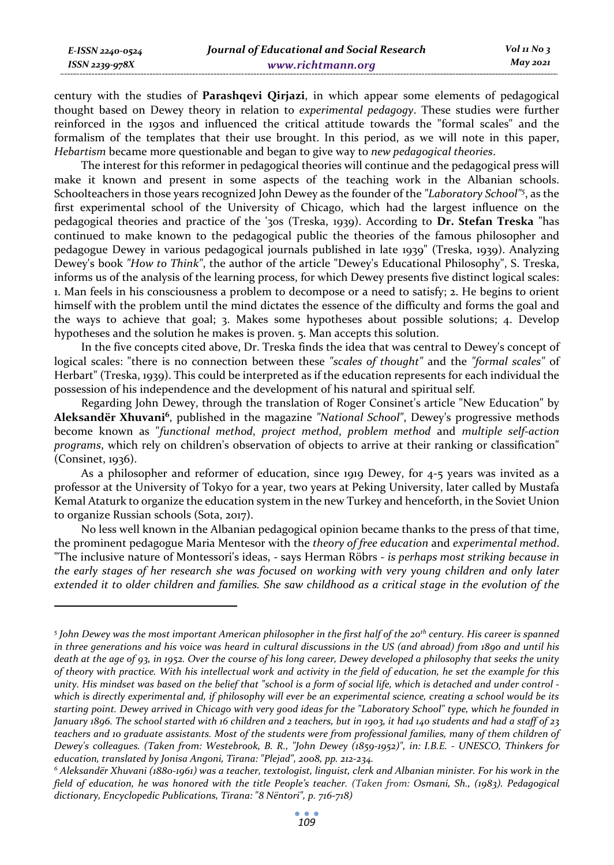*ISSN 2239-978X*

century with the studies of **Parashqevi Qirjazi**, in which appear some elements of pedagogical thought based on Dewey theory in relation to *experimental pedagogy*. These studies were further reinforced in the 1930s and influenced the critical attitude towards the "formal scales" and the formalism of the templates that their use brought. In this period, as we will note in this paper, *Hebartism* became more questionable and began to give way to *new pedagogical theories*.

The interest for this reformer in pedagogical theories will continue and the pedagogical press will make it known and present in some aspects of the teaching work in the Albanian schools. Schoolteachers in those years recognized John Dewey as the founder of the *"Laboratory School"5* , as the first experimental school of the University of Chicago, which had the largest influence on the pedagogical theories and practice of the '30s (Treska, 1939). According to **Dr. Stefan Treska** "has continued to make known to the pedagogical public the theories of the famous philosopher and pedagogue Dewey in various pedagogical journals published in late 1939" (Treska, 1939). Analyzing Dewey's book *"How to Think"*, the author of the article "Dewey's Educational Philosophy", S. Treska, informs us of the analysis of the learning process, for which Dewey presents five distinct logical scales: 1. Man feels in his consciousness a problem to decompose or a need to satisfy; 2. He begins to orient himself with the problem until the mind dictates the essence of the difficulty and forms the goal and the ways to achieve that goal; 3. Makes some hypotheses about possible solutions; 4. Develop hypotheses and the solution he makes is proven. 5. Man accepts this solution.

In the five concepts cited above, Dr. Treska finds the idea that was central to Dewey's concept of logical scales: "there is no connection between these *"scales of thought"* and the *"formal scales"* of Herbart" (Treska, 1939). This could be interpreted as if the education represents for each individual the possession of his independence and the development of his natural and spiritual self.

Regarding John Dewey, through the translation of Roger Consinet's article "New Education" by **Aleksandër Xhuvani6**, published in the magazine *"National School"*, Dewey's progressive methods become known as "*functional method*, *project method*, *problem method* and *multiple self-action programs*, which rely on children's observation of objects to arrive at their ranking or classification" (Consinet, 1936).

As a philosopher and reformer of education, since 1919 Dewey, for 4-5 years was invited as a professor at the University of Tokyo for a year, two years at Peking University, later called by Mustafa Kemal Ataturk to organize the education system in the new Turkey and henceforth, in the Soviet Union to organize Russian schools (Sota, 2017).

No less well known in the Albanian pedagogical opinion became thanks to the press of that time, the prominent pedagogue Maria Mentesor with the *theory of free education* and *experimental method*. "The inclusive nature of Montessori's ideas, - says Herman Röbrs - *is perhaps most striking because in the early stages of her research she was focused on working with very young children and only later extended it to older children and families. She saw childhood as a critical stage in the evolution of the* 

*<sup>5</sup> John Dewey was the most important American philosopher in the first half of the 20th century. His career is spanned in three generations and his voice was heard in cultural discussions in the US (and abroad) from 1890 and until his death at the age of 93, in 1952. Over the course of his long career, Dewey developed a philosophy that seeks the unity of theory with practice. With his intellectual work and activity in the field of education, he set the example for this unity. His mindset was based on the belief that "school is a form of social life, which is detached and under control which is directly experimental and, if philosophy will ever be an experimental science, creating a school would be its starting point. Dewey arrived in Chicago with very good ideas for the "Laboratory School" type, which he founded in January 1896. The school started with 16 children and 2 teachers, but in 1903, it had 140 students and had a staff of 23 teachers and 10 graduate assistants. Most of the students were from professional families, many of them children of Dewey's colleagues. (Taken from: Westebrook, B. R., "John Dewey (1859-1952)", in: I.B.E. - UNESCO, Thinkers for education, translated by Jonisa Angoni, Tirana: "Plejad", 2008, pp. 212-234. 6*

*Aleksandër Xhuvani (1880-1961) was a teacher, textologist, linguist, clerk and Albanian minister. For his work in the field of education, he was honored with the title People's teacher. (Taken from: Osmani, Sh., (1983). Pedagogical dictionary, Encyclopedic Publications, Tirana: "8 Nëntori", p. 716-718)*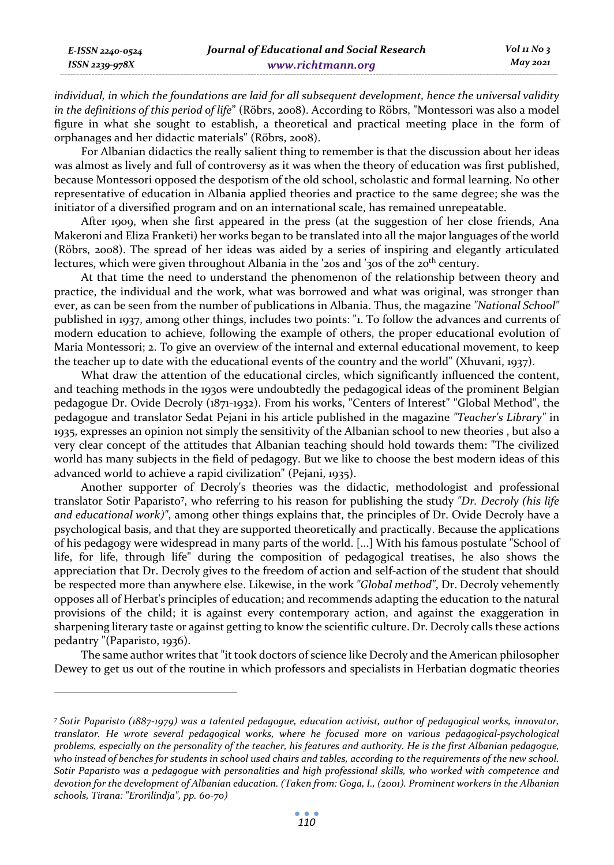| E-ISSN 2240-0524 | Journal of Educational and Social Research | $Vol_1N_0$ 3 |
|------------------|--------------------------------------------|--------------|
| ISSN 2239-978X   | www.richtmann.org                          | May 2021     |

*individual, in which the foundations are laid for all subsequent development, hence the universal validity in the definitions of this period of life*" (Röbrs, 2008). According to Röbrs, "Montessori was also a model figure in what she sought to establish, a theoretical and practical meeting place in the form of orphanages and her didactic materials" (Röbrs, 2008).

For Albanian didactics the really salient thing to remember is that the discussion about her ideas was almost as lively and full of controversy as it was when the theory of education was first published, because Montessori opposed the despotism of the old school, scholastic and formal learning. No other representative of education in Albania applied theories and practice to the same degree; she was the initiator of a diversified program and on an international scale, has remained unrepeatable.

After 1909, when she first appeared in the press (at the suggestion of her close friends, Ana Makeroni and Eliza Franketi) her works began to be translated into all the major languages of the world (Röbrs, 2008). The spread of her ideas was aided by a series of inspiring and elegantly articulated lectures, which were given throughout Albania in the '20s and '30s of the 20<sup>th</sup> century.

At that time the need to understand the phenomenon of the relationship between theory and practice, the individual and the work, what was borrowed and what was original, was stronger than ever, as can be seen from the number of publications in Albania. Thus, the magazine *"National School"* published in 1937, among other things, includes two points: "1. To follow the advances and currents of modern education to achieve, following the example of others, the proper educational evolution of Maria Montessori; 2. To give an overview of the internal and external educational movement, to keep the teacher up to date with the educational events of the country and the world" (Xhuvani, 1937).

What draw the attention of the educational circles, which significantly influenced the content, and teaching methods in the 1930s were undoubtedly the pedagogical ideas of the prominent Belgian pedagogue Dr. Ovide Decroly (1871-1932). From his works, "Centers of Interest" "Global Method", the pedagogue and translator Sedat Pejani in his article published in the magazine *"Teacher's Library"* in 1935, expresses an opinion not simply the sensitivity of the Albanian school to new theories , but also a very clear concept of the attitudes that Albanian teaching should hold towards them: "The civilized world has many subjects in the field of pedagogy. But we like to choose the best modern ideas of this advanced world to achieve a rapid civilization" (Pejani, 1935).

Another supporter of Decroly's theories was the didactic, methodologist and professional translator Sotir Paparisto7 , who referring to his reason for publishing the study *"Dr. Decroly (his life and educational work)"*, among other things explains that, the principles of Dr. Ovide Decroly have a psychological basis, and that they are supported theoretically and practically. Because the applications of his pedagogy were widespread in many parts of the world. [...] With his famous postulate "School of life, for life, through life" during the composition of pedagogical treatises, he also shows the appreciation that Dr. Decroly gives to the freedom of action and self-action of the student that should be respected more than anywhere else. Likewise, in the work *"Global method"*, Dr. Decroly vehemently opposes all of Herbat's principles of education; and recommends adapting the education to the natural provisions of the child; it is against every contemporary action, and against the exaggeration in sharpening literary taste or against getting to know the scientific culture. Dr. Decroly calls these actions pedantry "(Paparisto, 1936).

The same author writes that "it took doctors of science like Decroly and the American philosopher Dewey to get us out of the routine in which professors and specialists in Herbatian dogmatic theories

*<sup>7</sup> Sotir Paparisto (1887-1979) was a talented pedagogue, education activist, author of pedagogical works, innovator, translator. He wrote several pedagogical works, where he focused more on various pedagogical-psychological problems, especially on the personality of the teacher, his features and authority. He is the first Albanian pedagogue, who instead of benches for students in school used chairs and tables, according to the requirements of the new school. Sotir Paparisto was a pedagogue with personalities and high professional skills, who worked with competence and devotion for the development of Albanian education. (Taken from: Goga, I., (2001). Prominent workers in the Albanian schools, Tirana: "Erorilindja", pp. 60-70)*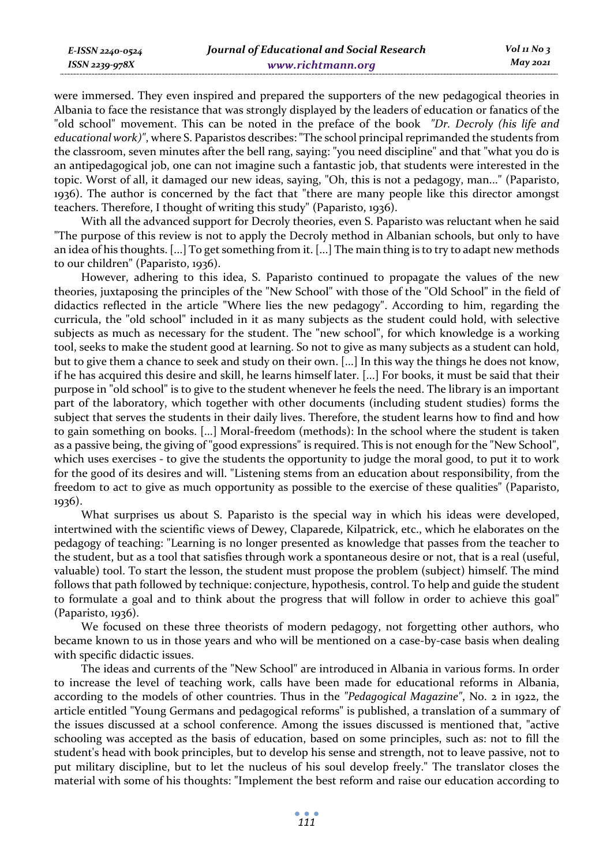were immersed. They even inspired and prepared the supporters of the new pedagogical theories in Albania to face the resistance that was strongly displayed by the leaders of education or fanatics of the "old school" movement. This can be noted in the preface of the book *"Dr. Decroly (his life and educational work)"*, where S. Paparistos describes: "The school principal reprimanded the students from the classroom, seven minutes after the bell rang, saying: "you need discipline" and that "what you do is an antipedagogical job, one can not imagine such a fantastic job, that students were interested in the topic. Worst of all, it damaged our new ideas, saying, "Oh, this is not a pedagogy, man..." (Paparisto, 1936). The author is concerned by the fact that "there are many people like this director amongst teachers. Therefore, I thought of writing this study" (Paparisto, 1936).

With all the advanced support for Decroly theories, even S. Paparisto was reluctant when he said "The purpose of this review is not to apply the Decroly method in Albanian schools, but only to have an idea of his thoughts. [...] To get something from it. [...] The main thing is to try to adapt new methods to our children" (Paparisto, 1936).

However, adhering to this idea, S. Paparisto continued to propagate the values of the new theories, juxtaposing the principles of the "New School" with those of the "Old School" in the field of didactics reflected in the article "Where lies the new pedagogy". According to him, regarding the curricula, the "old school" included in it as many subjects as the student could hold, with selective subjects as much as necessary for the student. The "new school", for which knowledge is a working tool, seeks to make the student good at learning. So not to give as many subjects as a student can hold, but to give them a chance to seek and study on their own. [...] In this way the things he does not know, if he has acquired this desire and skill, he learns himself later. [...] For books, it must be said that their purpose in "old school" is to give to the student whenever he feels the need. The library is an important part of the laboratory, which together with other documents (including student studies) forms the subject that serves the students in their daily lives. Therefore, the student learns how to find and how to gain something on books. [...] Moral-freedom (methods): In the school where the student is taken as a passive being, the giving of "good expressions" is required. This is not enough for the "New School", which uses exercises - to give the students the opportunity to judge the moral good, to put it to work for the good of its desires and will. "Listening stems from an education about responsibility, from the freedom to act to give as much opportunity as possible to the exercise of these qualities" (Paparisto, 1936).

What surprises us about S. Paparisto is the special way in which his ideas were developed, intertwined with the scientific views of Dewey, Claparede, Kilpatrick, etc., which he elaborates on the pedagogy of teaching: "Learning is no longer presented as knowledge that passes from the teacher to the student, but as a tool that satisfies through work a spontaneous desire or not, that is a real (useful, valuable) tool. To start the lesson, the student must propose the problem (subject) himself. The mind follows that path followed by technique: conjecture, hypothesis, control. To help and guide the student to formulate a goal and to think about the progress that will follow in order to achieve this goal" (Paparisto, 1936).

We focused on these three theorists of modern pedagogy, not forgetting other authors, who became known to us in those years and who will be mentioned on a case-by-case basis when dealing with specific didactic issues.

The ideas and currents of the "New School" are introduced in Albania in various forms. In order to increase the level of teaching work, calls have been made for educational reforms in Albania, according to the models of other countries. Thus in the *"Pedagogical Magazine"*, No. 2 in 1922, the article entitled "Young Germans and pedagogical reforms" is published, a translation of a summary of the issues discussed at a school conference. Among the issues discussed is mentioned that, "active schooling was accepted as the basis of education, based on some principles, such as: not to fill the student's head with book principles, but to develop his sense and strength, not to leave passive, not to put military discipline, but to let the nucleus of his soul develop freely." The translator closes the material with some of his thoughts: "Implement the best reform and raise our education according to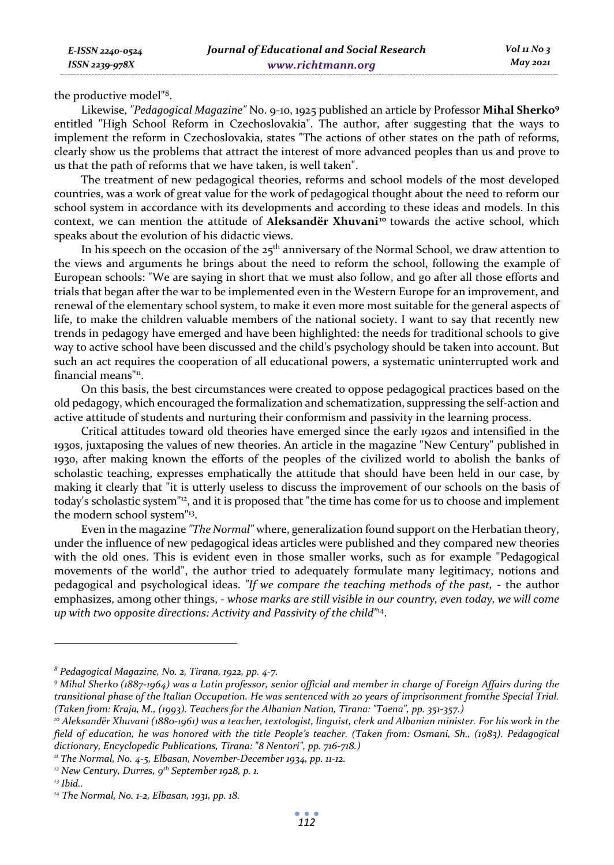the productive model"8.

Likewise, *"Pedagogical Magazine"* No. 9-10, 1925 published an article by Professor **Mihal Sherko9** entitled "High School Reform in Czechoslovakia". The author, after suggesting that the ways to implement the reform in Czechoslovakia, states "The actions of other states on the path of reforms, clearly show us the problems that attract the interest of more advanced peoples than us and prove to us that the path of reforms that we have taken, is well taken".

The treatment of new pedagogical theories, reforms and school models of the most developed countries, was a work of great value for the work of pedagogical thought about the need to reform our school system in accordance with its developments and according to these ideas and models. In this context, we can mention the attitude of Aleksandër Xhuvani<sup>10</sup> towards the active school, which speaks about the evolution of his didactic views.

In his speech on the occasion of the  $25<sup>th</sup>$  anniversary of the Normal School, we draw attention to the views and arguments he brings about the need to reform the school, following the example of European schools: "We are saying in short that we must also follow, and go after all those efforts and trials that began after the war to be implemented even in the Western Europe for an improvement, and renewal of the elementary school system, to make it even more most suitable for the general aspects of life, to make the children valuable members of the national society. I want to say that recently new trends in pedagogy have emerged and have been highlighted: the needs for traditional schools to give way to active school have been discussed and the child's psychology should be taken into account. But such an act requires the cooperation of all educational powers, a systematic uninterrupted work and financial means"<sup>11</sup>.

On this basis, the best circumstances were created to oppose pedagogical practices based on the old pedagogy, which encouraged the formalization and schematization, suppressing the self-action and active attitude of students and nurturing their conformism and passivity in the learning process.

Critical attitudes toward old theories have emerged since the early 1920s and intensified in the 1930s, juxtaposing the values of new theories. An article in the magazine "New Century" published in 1930, after making known the efforts of the peoples of the civilized world to abolish the banks of scholastic teaching, expresses emphatically the attitude that should have been held in our case, by making it clearly that "it is utterly useless to discuss the improvement of our schools on the basis of today's scholastic system"<sup>12</sup>, and it is proposed that "the time has come for us to choose and implement the modern school system"13.

Even in the magazine *"The Normal"* where, generalization found support on the Herbatian theory, under the influence of new pedagogical ideas articles were published and they compared new theories with the old ones. This is evident even in those smaller works, such as for example "Pedagogical movements of the world", the author tried to adequately formulate many legitimacy, notions and pedagogical and psychological ideas. *"If we compare the teaching methods of the past,* - the author emphasizes, among other things, - *whose marks are still visible in our country, even today, we will come up with two opposite directions: Activity and Passivity of the child"*14.

*<sup>8</sup> Pedagogical Magazine, No. 2, Tirana, 1922, pp. 4-7.* 

*<sup>9</sup> Mihal Sherko (1887-1964) was a Latin professor, senior official and member in charge of Foreign Affairs during the transitional phase of the Italian Occupation. He was sentenced with 20 years of imprisonment fromthe Special Trial.*  (Taken from: Kraja, M., (1993). Teachers for the Albanian Nation, Tirana: "Toena", pp. 351-357.)<br>'° Aleksandër Xhuvani (1880-1961) was a teacher, textologist, linguist, clerk and Albanian minister. For his work in the

*field of education, he was honored with the title People's teacher. (Taken from: Osmani, Sh., (1983). Pedagogical dictionary, Encyclopedic Publications, Tirana: "8 Nentori", pp. 716-718.)* 

*<sup>11</sup> The Normal, No. 4-5, Elbasan, November-December 1934, pp. 11-12.* 

*<sup>12</sup> New Century, Durres, 9th September 1928, p. 1. 13 Ibid..* 

*<sup>14</sup> The Normal, No. 1-2, Elbasan, 1931, pp. 18.*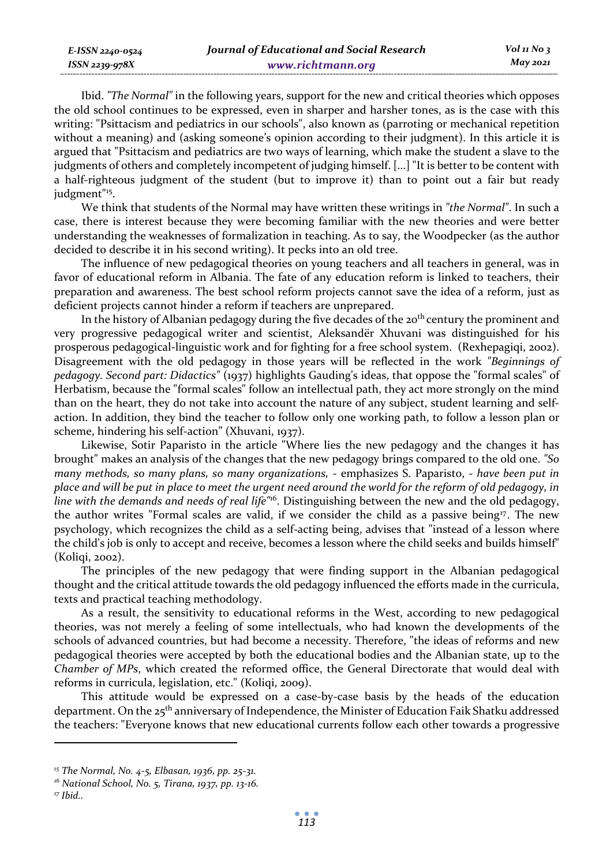Ibid. *"The Normal"* in the following years, support for the new and critical theories which opposes the old school continues to be expressed, even in sharper and harsher tones, as is the case with this writing: "Psittacism and pediatrics in our schools", also known as (parroting or mechanical repetition without a meaning) and (asking someone's opinion according to their judgment). In this article it is argued that "Psittacism and pediatrics are two ways of learning, which make the student a slave to the judgments of others and completely incompetent of judging himself. [...] "It is better to be content with a half-righteous judgment of the student (but to improve it) than to point out a fair but ready judgment"15.

We think that students of the Normal may have written these writings in *"the Normal"*. In such a case, there is interest because they were becoming familiar with the new theories and were better understanding the weaknesses of formalization in teaching. As to say, the Woodpecker (as the author decided to describe it in his second writing). It pecks into an old tree.

The influence of new pedagogical theories on young teachers and all teachers in general, was in favor of educational reform in Albania. The fate of any education reform is linked to teachers, their preparation and awareness. The best school reform projects cannot save the idea of a reform, just as deficient projects cannot hinder a reform if teachers are unprepared.

In the history of Albanian pedagogy during the five decades of the  $20<sup>th</sup>$  century the prominent and very progressive pedagogical writer and scientist, Aleksandër Xhuvani was distinguished for his prosperous pedagogical-linguistic work and for fighting for a free school system. (Rexhepagiqi, 2002). Disagreement with the old pedagogy in those years will be reflected in the work *"Beginnings of pedagogy. Second part: Didactics"* (1937) highlights Gauding's ideas, that oppose the "formal scales" of Herbatism, because the "formal scales" follow an intellectual path, they act more strongly on the mind than on the heart, they do not take into account the nature of any subject, student learning and selfaction. In addition, they bind the teacher to follow only one working path, to follow a lesson plan or scheme, hindering his self-action" (Xhuvani, 1937).

Likewise, Sotir Paparisto in the article "Where lies the new pedagogy and the changes it has brought" makes an analysis of the changes that the new pedagogy brings compared to the old one. *"So many methods, so many plans, so many organizations,* - emphasizes S. Paparisto, - *have been put in place and will be put in place to meet the urgent need around the world for the reform of old pedagogy, in line with the demands and needs of real life"*16. Distinguishing between the new and the old pedagogy, the author writes "Formal scales are valid, if we consider the child as a passive being17. The new psychology, which recognizes the child as a self-acting being, advises that "instead of a lesson where the child's job is only to accept and receive, becomes a lesson where the child seeks and builds himself" (Koliqi, 2002).

The principles of the new pedagogy that were finding support in the Albanian pedagogical thought and the critical attitude towards the old pedagogy influenced the efforts made in the curricula, texts and practical teaching methodology.

As a result, the sensitivity to educational reforms in the West, according to new pedagogical theories, was not merely a feeling of some intellectuals, who had known the developments of the schools of advanced countries, but had become a necessity. Therefore, "the ideas of reforms and new pedagogical theories were accepted by both the educational bodies and the Albanian state, up to the *Chamber of MPs*, which created the reformed office, the General Directorate that would deal with reforms in curricula, legislation, etc." (Koliqi, 2009).

This attitude would be expressed on a case-by-case basis by the heads of the education department. On the 25th anniversary of Independence, the Minister of Education Faik Shatku addressed the teachers: "Everyone knows that new educational currents follow each other towards a progressive

*E-ISSN 2240-0524 ISSN 2239-978X*

*<sup>15</sup> The Normal, No. 4-5, Elbasan, 1936, pp. 25-31.* 

*<sup>16</sup> National School, No. 5, Tirana, 1937, pp. 13-16.* 

*<sup>17</sup> Ibid..*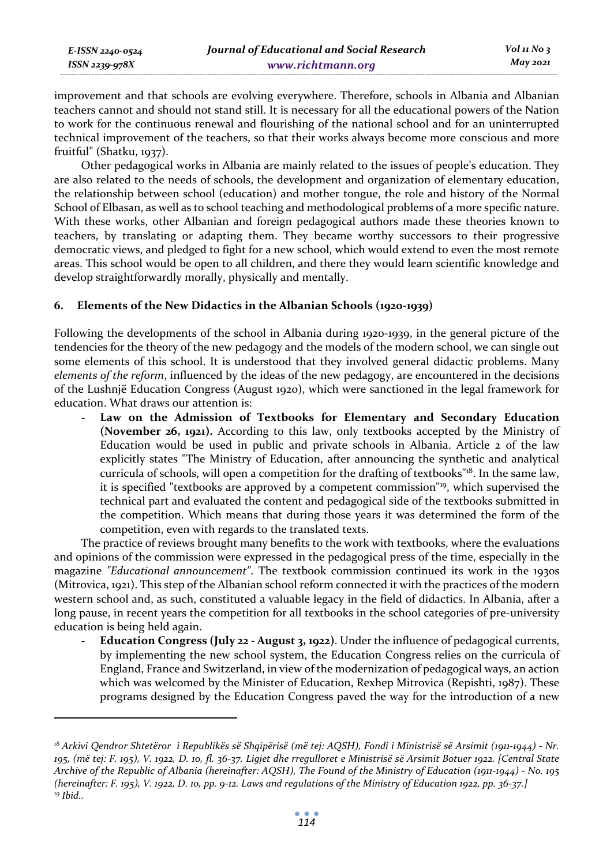improvement and that schools are evolving everywhere. Therefore, schools in Albania and Albanian teachers cannot and should not stand still. It is necessary for all the educational powers of the Nation to work for the continuous renewal and flourishing of the national school and for an uninterrupted technical improvement of the teachers, so that their works always become more conscious and more fruitful" (Shatku, 1937).

Other pedagogical works in Albania are mainly related to the issues of people's education. They are also related to the needs of schools, the development and organization of elementary education, the relationship between school (education) and mother tongue, the role and history of the Normal School of Elbasan, as well as to school teaching and methodological problems of a more specific nature. With these works, other Albanian and foreign pedagogical authors made these theories known to teachers, by translating or adapting them. They became worthy successors to their progressive democratic views, and pledged to fight for a new school, which would extend to even the most remote areas. This school would be open to all children, and there they would learn scientific knowledge and develop straightforwardly morally, physically and mentally.

# **6. Elements of the New Didactics in the Albanian Schools (1920-1939)**

Following the developments of the school in Albania during 1920-1939, in the general picture of the tendencies for the theory of the new pedagogy and the models of the modern school, we can single out some elements of this school. It is understood that they involved general didactic problems. Many *elements of the reform*, influenced by the ideas of the new pedagogy, are encountered in the decisions of the Lushnjë Education Congress (August 1920), which were sanctioned in the legal framework for education. What draws our attention is:

Law on the Admission of Textbooks for Elementary and Secondary Education **(November 26, 1921).** According to this law, only textbooks accepted by the Ministry of Education would be used in public and private schools in Albania. Article 2 of the law explicitly states "The Ministry of Education, after announcing the synthetic and analytical curricula of schools, will open a competition for the drafting of textbooks"18. In the same law, it is specified "textbooks are approved by a competent commission"19, which supervised the technical part and evaluated the content and pedagogical side of the textbooks submitted in the competition. Which means that during those years it was determined the form of the competition, even with regards to the translated texts.

The practice of reviews brought many benefits to the work with textbooks, where the evaluations and opinions of the commission were expressed in the pedagogical press of the time, especially in the magazine *"Educational announcement"*. The textbook commission continued its work in the 1930s (Mitrovica, 1921). This step of the Albanian school reform connected it with the practices of the modern western school and, as such, constituted a valuable legacy in the field of didactics. In Albania, after a long pause, in recent years the competition for all textbooks in the school categories of pre-university education is being held again.

- **Education Congress (July 22 - August 3, 1922)**. Under the influence of pedagogical currents, by implementing the new school system, the Education Congress relies on the curricula of England, France and Switzerland, in view of the modernization of pedagogical ways, an action which was welcomed by the Minister of Education, Rexhep Mitrovica (Repishti, 1987). These programs designed by the Education Congress paved the way for the introduction of a new

*<sup>18</sup> Arkivi Qendror Shtetëror i Republikës së Shqipërisë (më tej: AQSH), Fondi i Ministrisë së Arsimit (1911-1944) - Nr. 195, (më tej: F. 195), V. 1922, D. 10, fl. 36-37. Ligjet dhe rregulloret e Ministrisë së Arsimit Botuer 1922. [Central State Archive of the Republic of Albania (hereinafter: AQSH), The Found of the Ministry of Education (1911-1944) - No. 195 (hereinafter: F. 195), V. 1922, D. 10, pp. 9-12. Laws and regulations of the Ministry of Education 1922, pp. 36-37.] 19 Ibid..*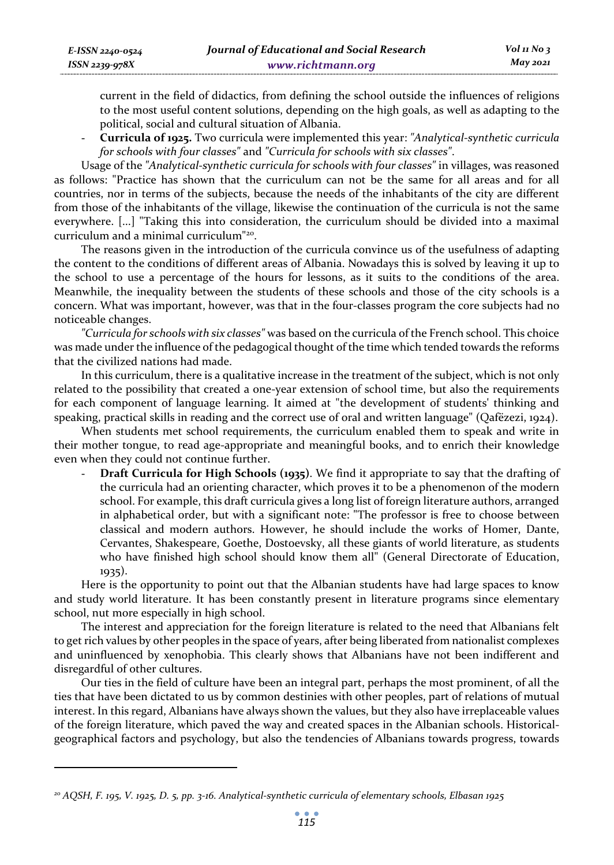current in the field of didactics, from defining the school outside the influences of religions to the most useful content solutions, depending on the high goals, as well as adapting to the political, social and cultural situation of Albania.

- **Curricula of 1925.** Two curricula were implemented this year: *"Analytical-synthetic curricula for schools with four classes"* and *"Curricula for schools with six classes"*.

Usage of the *"Analytical-synthetic curricula for schools with four classes"* in villages, was reasoned as follows: "Practice has shown that the curriculum can not be the same for all areas and for all countries, nor in terms of the subjects, because the needs of the inhabitants of the city are different from those of the inhabitants of the village, likewise the continuation of the curricula is not the same everywhere. [...] "Taking this into consideration, the curriculum should be divided into a maximal curriculum and a minimal curriculum"20.

The reasons given in the introduction of the curricula convince us of the usefulness of adapting the content to the conditions of different areas of Albania. Nowadays this is solved by leaving it up to the school to use a percentage of the hours for lessons, as it suits to the conditions of the area. Meanwhile, the inequality between the students of these schools and those of the city schools is a concern. What was important, however, was that in the four-classes program the core subjects had no noticeable changes.

*"Curricula for schools with six classes"* was based on the curricula of the French school. This choice was made under the influence of the pedagogical thought of the time which tended towards the reforms that the civilized nations had made.

In this curriculum, there is a qualitative increase in the treatment of the subject, which is not only related to the possibility that created a one-year extension of school time, but also the requirements for each component of language learning. It aimed at "the development of students' thinking and speaking, practical skills in reading and the correct use of oral and written language" (Qafëzezi, 1924).

When students met school requirements, the curriculum enabled them to speak and write in their mother tongue, to read age-appropriate and meaningful books, and to enrich their knowledge even when they could not continue further.

**Draft Curricula for High Schools (1935)**. We find it appropriate to say that the drafting of the curricula had an orienting character, which proves it to be a phenomenon of the modern school. For example, this draft curricula gives a long list of foreign literature authors, arranged in alphabetical order, but with a significant note: "The professor is free to choose between classical and modern authors. However, he should include the works of Homer, Dante, Cervantes, Shakespeare, Goethe, Dostoevsky, all these giants of world literature, as students who have finished high school should know them all" (General Directorate of Education, 1935).

Here is the opportunity to point out that the Albanian students have had large spaces to know and study world literature. It has been constantly present in literature programs since elementary school, nut more especially in high school.

The interest and appreciation for the foreign literature is related to the need that Albanians felt to get rich values by other peoples in the space of years, after being liberated from nationalist complexes and uninfluenced by xenophobia. This clearly shows that Albanians have not been indifferent and disregardful of other cultures.

Our ties in the field of culture have been an integral part, perhaps the most prominent, of all the ties that have been dictated to us by common destinies with other peoples, part of relations of mutual interest. In this regard, Albanians have always shown the values, but they also have irreplaceable values of the foreign literature, which paved the way and created spaces in the Albanian schools. Historicalgeographical factors and psychology, but also the tendencies of Albanians towards progress, towards

*<sup>20</sup> AQSH, F. 195, V. 1925, D. 5, pp. 3-16. Analytical-synthetic curricula of elementary schools, Elbasan 1925*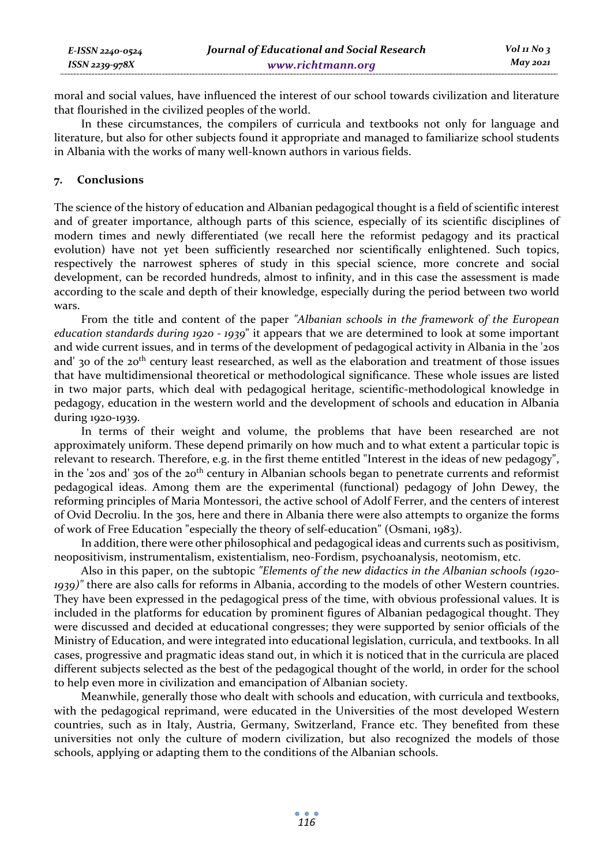| E-ISSN 2240-0524 | Journal of Educational and Social Research | $Vol_1N_0$ 3 |
|------------------|--------------------------------------------|--------------|
| ISSN 2239-978X   | www.richtmann.org                          | May 2021     |

moral and social values, have influenced the interest of our school towards civilization and literature that flourished in the civilized peoples of the world.

In these circumstances, the compilers of curricula and textbooks not only for language and literature, but also for other subjects found it appropriate and managed to familiarize school students in Albania with the works of many well-known authors in various fields.

## **7. Conclusions**

The science of the history of education and Albanian pedagogical thought is a field of scientific interest and of greater importance, although parts of this science, especially of its scientific disciplines of modern times and newly differentiated (we recall here the reformist pedagogy and its practical evolution) have not yet been sufficiently researched nor scientifically enlightened. Such topics, respectively the narrowest spheres of study in this special science, more concrete and social development, can be recorded hundreds, almost to infinity, and in this case the assessment is made according to the scale and depth of their knowledge, especially during the period between two world wars.

From the title and content of the paper *"Albanian schools in the framework of the European education standards during 1920 - 1939*" it appears that we are determined to look at some important and wide current issues, and in terms of the development of pedagogical activity in Albania in the '20s and' 30 of the 20<sup>th</sup> century least researched, as well as the elaboration and treatment of those issues that have multidimensional theoretical or methodological significance. These whole issues are listed in two major parts, which deal with pedagogical heritage, scientific-methodological knowledge in pedagogy, education in the western world and the development of schools and education in Albania during 1920-1939.

In terms of their weight and volume, the problems that have been researched are not approximately uniform. These depend primarily on how much and to what extent a particular topic is relevant to research. Therefore, e.g. in the first theme entitled "Interest in the ideas of new pedagogy", in the '20s and' 30s of the 20<sup>th</sup> century in Albanian schools began to penetrate currents and reformist pedagogical ideas. Among them are the experimental (functional) pedagogy of John Dewey, the reforming principles of Maria Montessori, the active school of Adolf Ferrer, and the centers of interest of Ovid Decroliu. In the 30s, here and there in Albania there were also attempts to organize the forms of work of Free Education "especially the theory of self-education" (Osmani, 1983).

In addition, there were other philosophical and pedagogical ideas and currents such as positivism, neopositivism, instrumentalism, existentialism, neo-Fordism, psychoanalysis, neotomism, etc.

Also in this paper, on the subtopic *"Elements of the new didactics in the Albanian schools (1920- 1939)"* there are also calls for reforms in Albania, according to the models of other Western countries. They have been expressed in the pedagogical press of the time, with obvious professional values. It is included in the platforms for education by prominent figures of Albanian pedagogical thought. They were discussed and decided at educational congresses; they were supported by senior officials of the Ministry of Education, and were integrated into educational legislation, curricula, and textbooks. In all cases, progressive and pragmatic ideas stand out, in which it is noticed that in the curricula are placed different subjects selected as the best of the pedagogical thought of the world, in order for the school to help even more in civilization and emancipation of Albanian society.

Meanwhile, generally those who dealt with schools and education, with curricula and textbooks, with the pedagogical reprimand, were educated in the Universities of the most developed Western countries, such as in Italy, Austria, Germany, Switzerland, France etc. They benefited from these universities not only the culture of modern civilization, but also recognized the models of those schools, applying or adapting them to the conditions of the Albanian schools.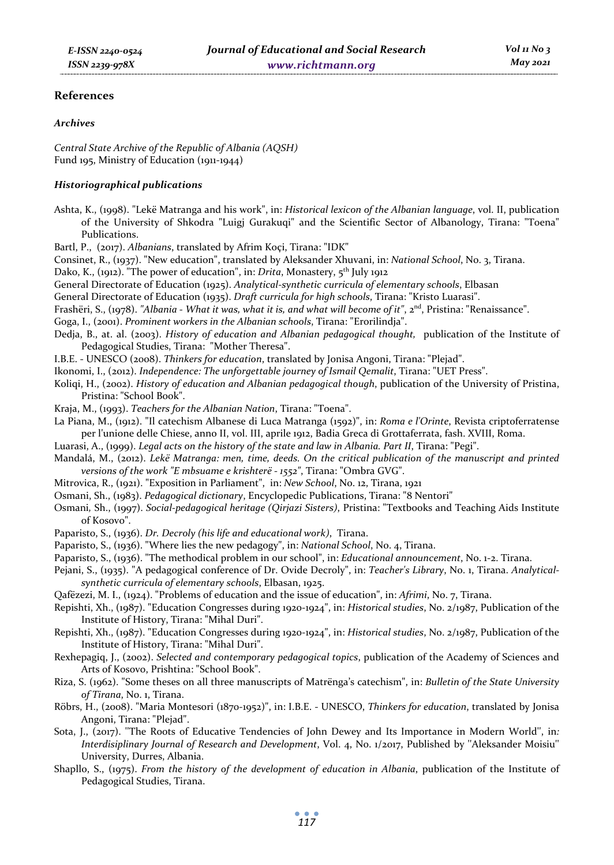## **References**

#### *Archives*

*Central State Archive of the Republic of Albania (AQSH)*  Fund 195, Ministry of Education (1911-1944)

## *Historiographical publications*

- Ashta, K., (1998). "Lekë Matranga and his work", in: *Historical lexicon of the Albanian language*, vol. II, publication of the University of Shkodra "Luigj Gurakuqi" and the Scientific Sector of Albanology, Tirana: "Toena" Publications.
- Bartl, P., (2017). *Albanians*, translated by Afrim Koçi, Tirana: "IDK"
- Consinet, R., (1937). "New education", translated by Aleksander Xhuvani, in: *National School*, No. 3, Tirana.
- Dako, K., (1912). "The power of education", in: *Drita*, Monastery, 5<sup>th</sup> July 1912
- General Directorate of Education (1925). *Analytical-synthetic curricula of elementary schools*, Elbasan
- General Directorate of Education (1935). *Draft curricula for high schools*, Tirana: "Kristo Luarasi".
- Frashëri, S., (1978). *"Albania What it was, what it is, and what will become of it"*, 2<sup>nd</sup>, Pristina: "Renaissance".
- Goga, I., (2001). *Prominent workers in the Albanian schools*, Tirana: "Erorilindja".
- Dedja, B., at. al. (2003). *History of education and Albanian pedagogical thought,* publication of the Institute of Pedagogical Studies, Tirana: "Mother Theresa".
- I.B.E. UNESCO (2008). *Thinkers for education*, translated by Jonisa Angoni, Tirana: "Plejad".
- Ikonomi, I., (2012). *Independence: The unforgettable journey of Ismail Qemalit*, Tirana: "UET Press".
- Koliqi, H., (2002). *History of education and Albanian pedagogical though*, publication of the University of Pristina, Pristina: "School Book".
- Kraja, M., (1993). *Teachers for the Albanian Nation*, Tirana: "Toena".
- La Piana, M., (1912). "Il catechism Albanese di Luca Matranga (1592)", in: *Roma e l'Orinte*, Revista criptoferratense per l'unione delle Chiese, anno II, vol. III, aprile 1912, Badia Greca di Grottaferrata, fash. XVIII, Roma.
- Luarasi, A., (1999). *Legal acts on the history of the state and law in Albania. Part II*, Tirana: "Pegi".
- Mandalá, M., (2012). *Lekë Matranga: men, time, deeds. On the critical publication of the manuscript and printed versions of the work "E mbsuame e krishterë - 1552"*, Tirana: "Ombra GVG".
- Mitrovica, R., (1921). "Exposition in Parliament", in: *New School*, No. 12, Tirana, 1921
- Osmani, Sh., (1983). *Pedagogical dictionary*, Encyclopedic Publications, Tirana: "8 Nentori"
- Osmani*,* Sh., (1997). *Social-pedagogical heritage (Qirjazi Sisters)*, Pristina: "Textbooks and Teaching Aids Institute of Kosovo".
- Paparisto, S., (1936). *Dr. Decroly (his life and educational work)*, Tirana.
- Paparisto, S., (1936). "Where lies the new pedagogy", in: *National School*, No. 4, Tirana.
- Paparisto, S., (1936). "The methodical problem in our school", in: *Educational announcement*, No. 1-2. Tirana.
- Pejani, S., (1935). "A pedagogical conference of Dr. Ovide Decroly", in: *Teacher's Library*, No. 1, Tirana. *Analyticalsynthetic curricula of elementary schools*, Elbasan, 1925.
- Qafëzezi, M. I., (1924). "Problems of education and the issue of education", in: *Afrimi*, No. 7, Tirana.
- Repishti, Xh., (1987). "Education Congresses during 1920-1924", in: *Historical studies*, No. 2/1987, Publication of the Institute of History, Tirana: "Mihal Duri".
- Repishti, Xh., (1987). "Education Congresses during 1920-1924", in: *Historical studies*, No. 2/1987, Publication of the Institute of History, Tirana: "Mihal Duri".
- Rexhepagiq, J., (2002). *Selected and contemporary pedagogical topics*, publication of the Academy of Sciences and Arts of Kosovo, Prishtina: "School Book".
- Riza, S. (1962). "Some theses on all three manuscripts of Matrënga's catechism", in: *Bulletin of the State University of Tirana*, No. 1, Tirana.
- Röbrs, H., (2008). "Maria Montesori (1870-1952)", in: I.B.E. UNESCO, *Thinkers for education*, translated by Jonisa Angoni, Tirana: "Plejad".
- Sota, J., (2017). ''The Roots of Educative Tendencies of John Dewey and Its Importance in Modern World'', in*: Interdisiplinary Journal of Research and Development*, Vol. 4, No. 1/2017, Published by ''Aleksander Moisiu'' University, Durres, Albania.
- Shapllo, S., (1975). *From the history of the development of education in Albania*, publication of the Institute of Pedagogical Studies, Tirana.